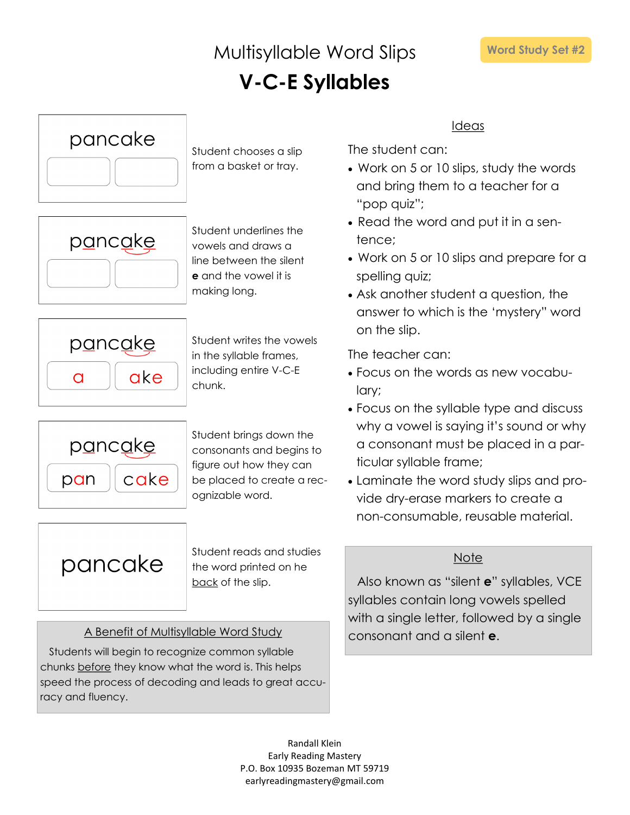### Multisyllable Word Slips **V-C-E Syllables**



Student chooses a slip from a basket or tray.



Student underlines the vowels and draws a line between the silent **e** and the vowel it is making long.



Student writes the vowels in the syllable frames, including entire V-C-E chunk.



Student brings down the consonants and begins to figure out how they can be placed to create a recognizable word.

pancake

Student reads and studies the word printed on he back of the slip.

### A Benefit of Multisyllable Word Study consonant and a silent **e**.

Students will begin to recognize common syllable chunks before they know what the word is. This helps speed the process of decoding and leads to great accuracy and fluency.

Ideas

The student can:

- Work on 5 or 10 slips, study the words and bring them to a teacher for a "pop quiz";
- Read the word and put it in a sentence;
- Work on 5 or 10 slips and prepare for a spelling quiz;
- Ask another student a question, the answer to which is the 'mystery" word on the slip.

The teacher can:

- Focus on the words as new vocabulary;
- Focus on the syllable type and discuss why a vowel is saying it's sound or why a consonant must be placed in a particular syllable frame;
- Laminate the word study slips and provide dry-erase markers to create a non-consumable, reusable material.

### Note

Also known as "silent **e**" syllables, VCE syllables contain long vowels spelled with a single letter, followed by a single

Randall Klein Early Reading Mastery P.O. Box 10935 Bozeman MT 59719 earlyreadingmastery@gmail.com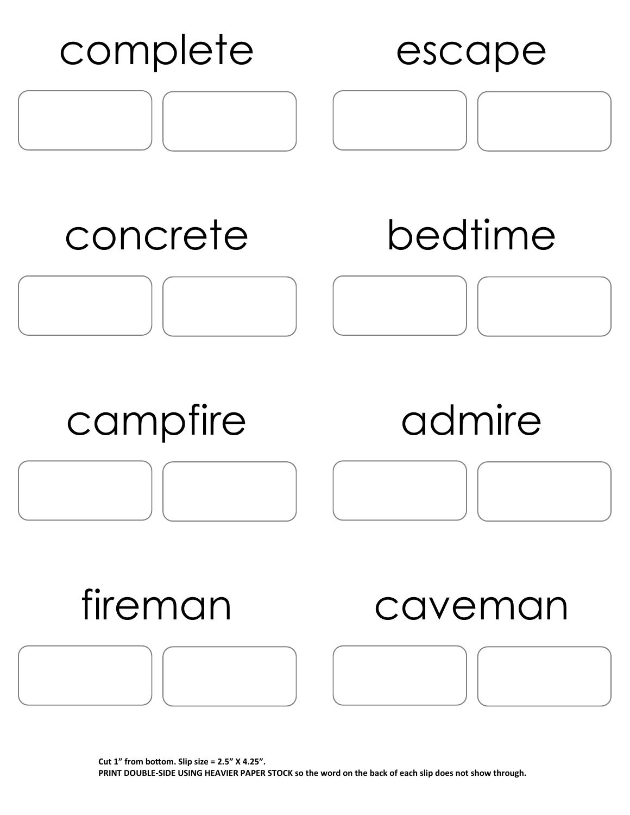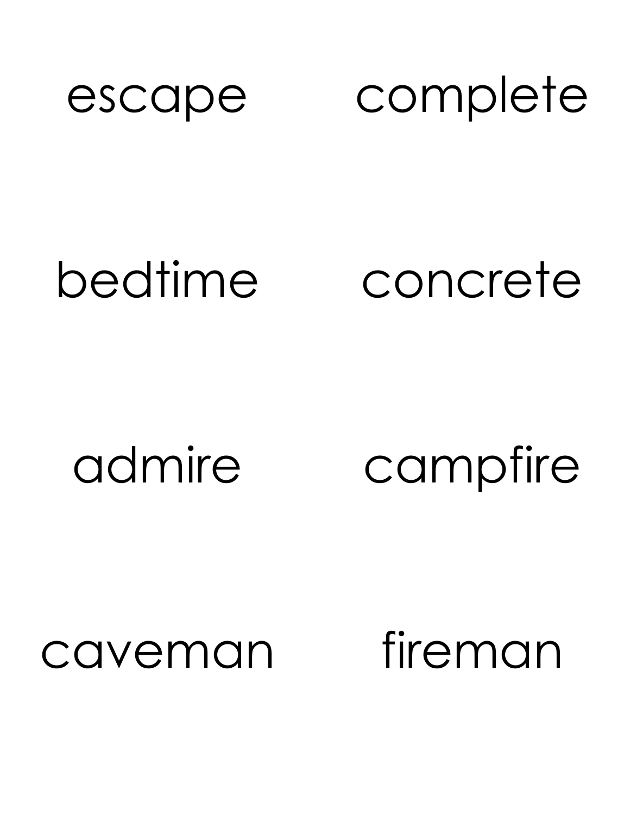

### bedtime concrete

# admire campfire

### caveman fireman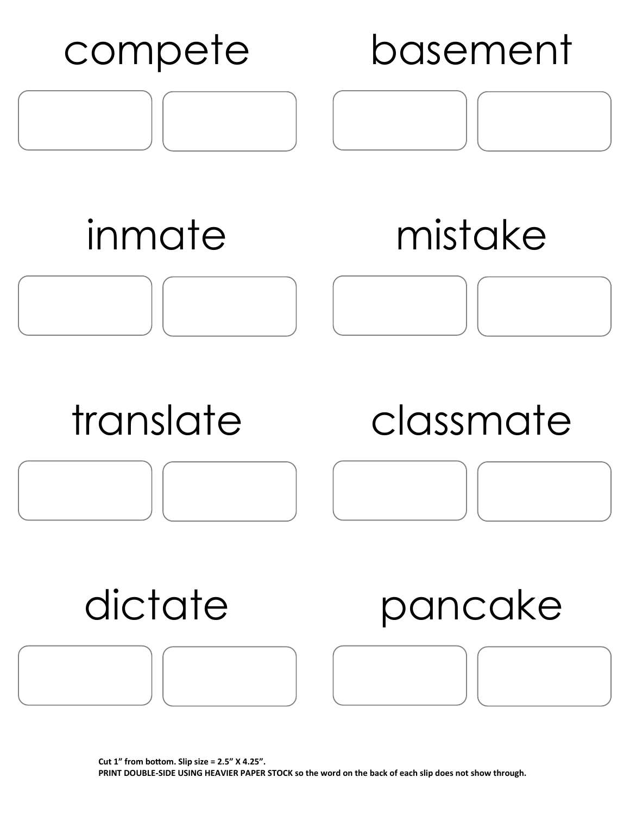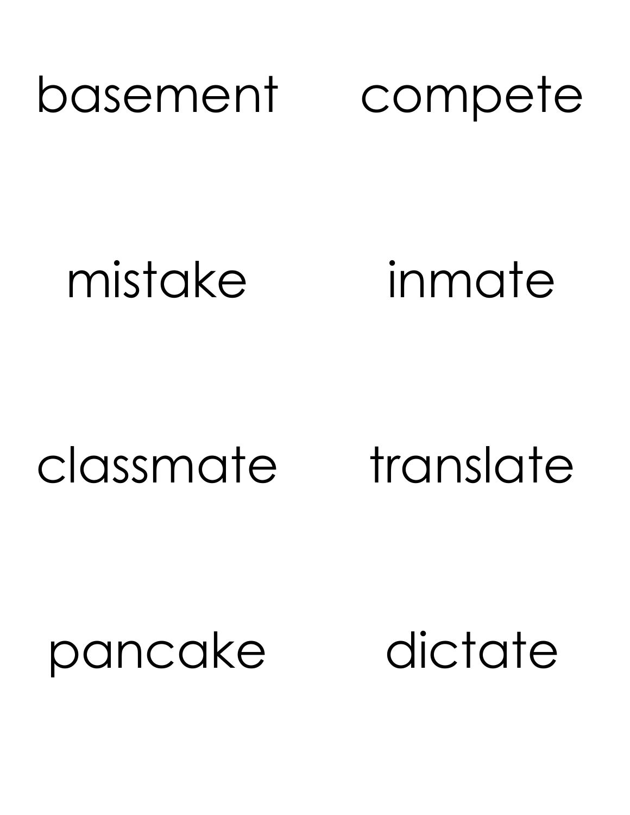### basement compete

mistake inmate

# classmate translate

### pancake dictate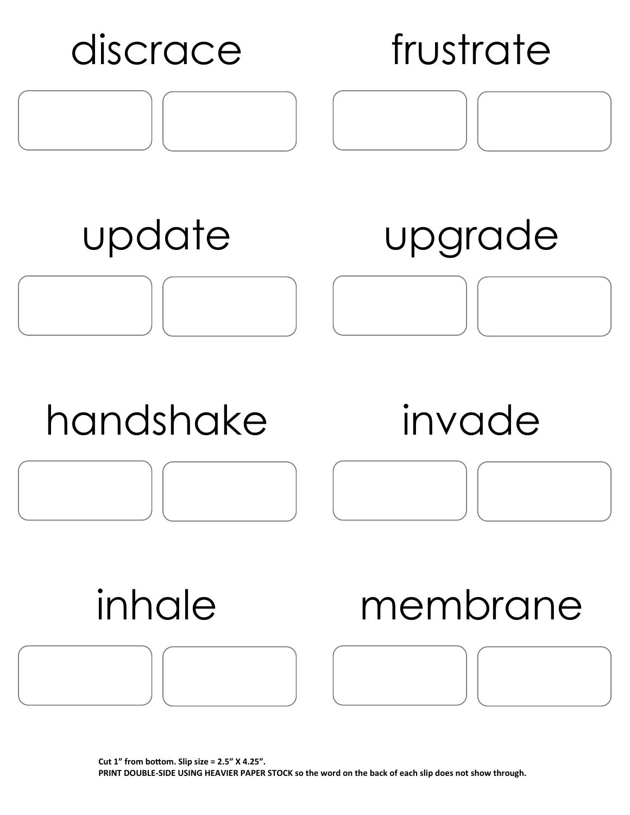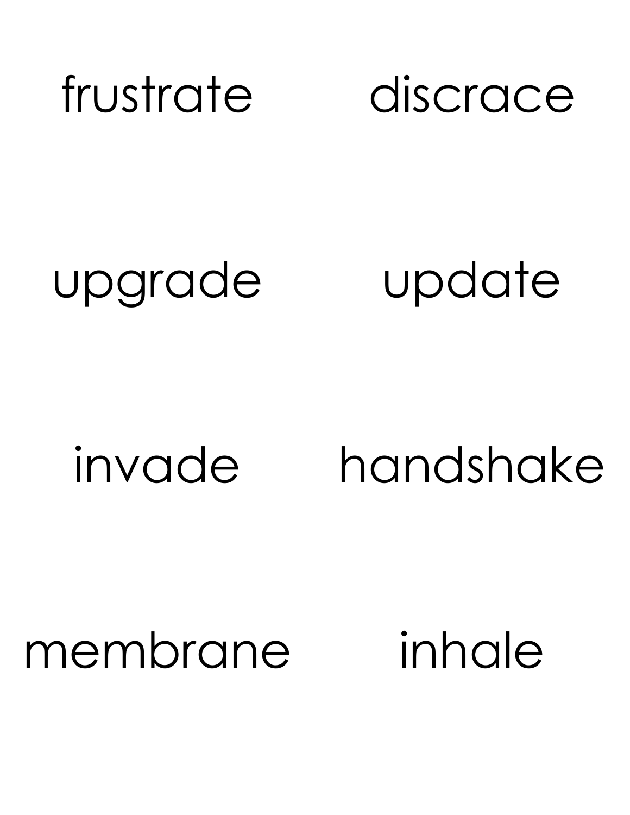![](_page_6_Picture_0.jpeg)

# upgrade update

# invade handshake

### membrane inhale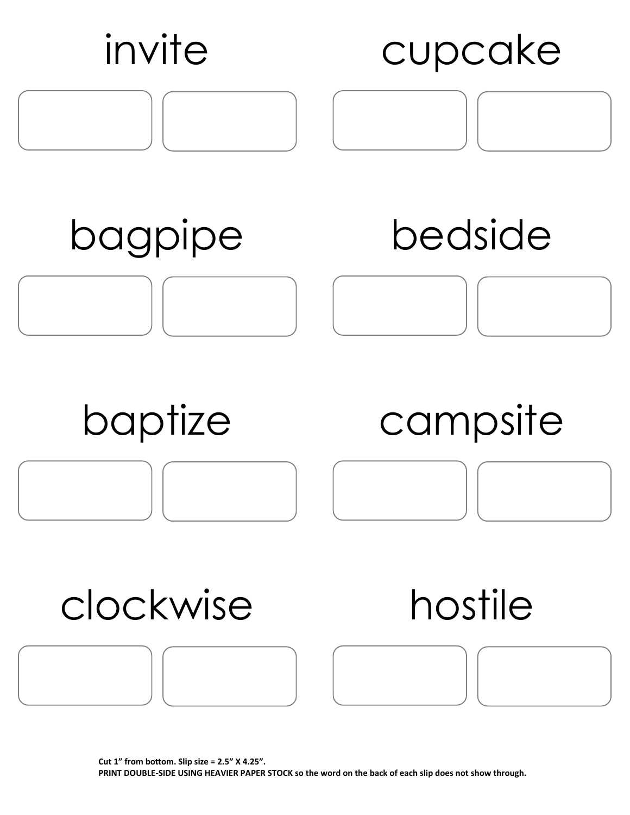![](_page_7_Figure_0.jpeg)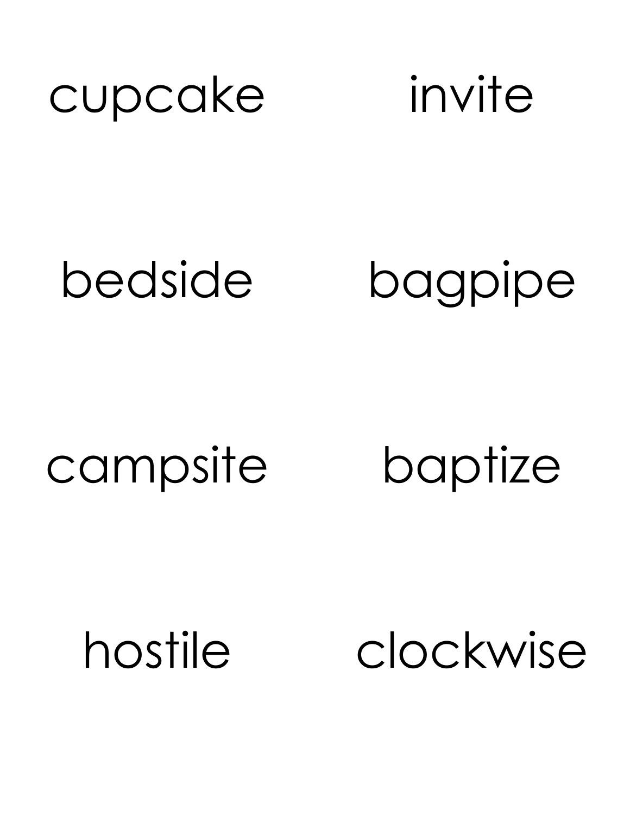![](_page_8_Picture_0.jpeg)

![](_page_8_Picture_1.jpeg)

# bedside bagpipe

# campsite baptize

hostile clockwise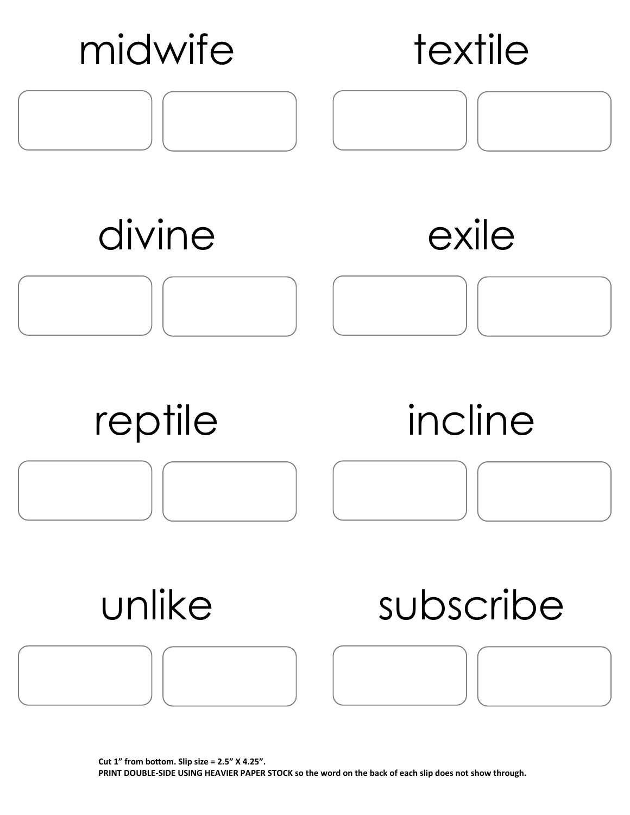![](_page_9_Figure_0.jpeg)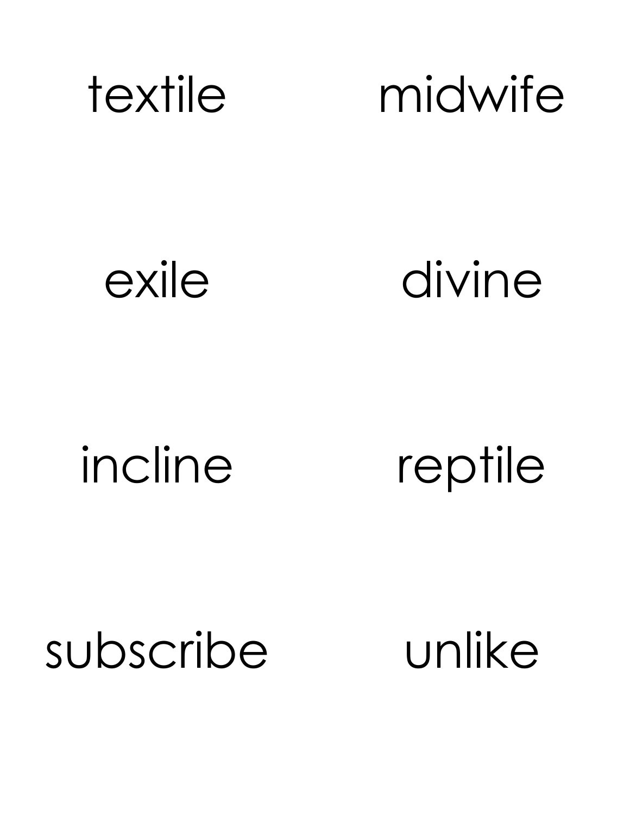![](_page_10_Picture_0.jpeg)

exile divine

# incline reptile

subscribe unlike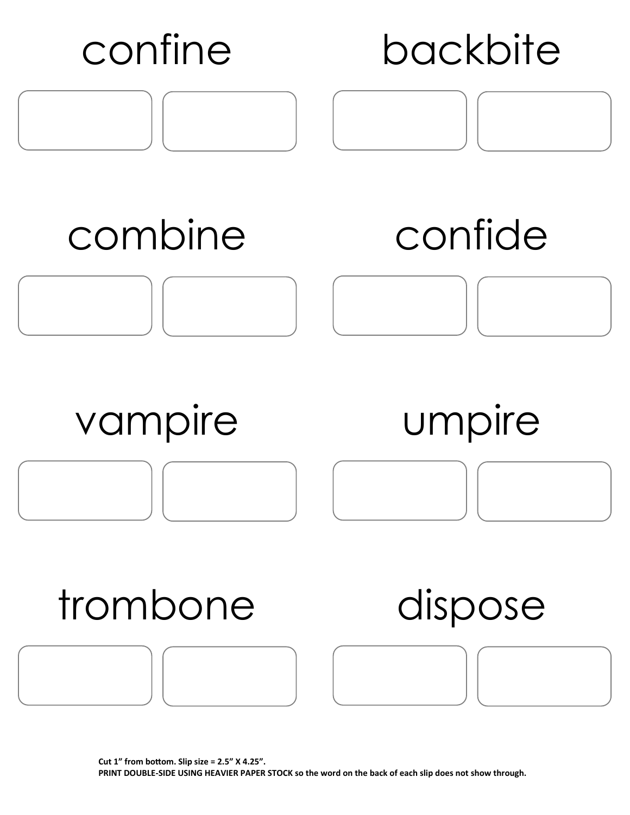![](_page_11_Figure_0.jpeg)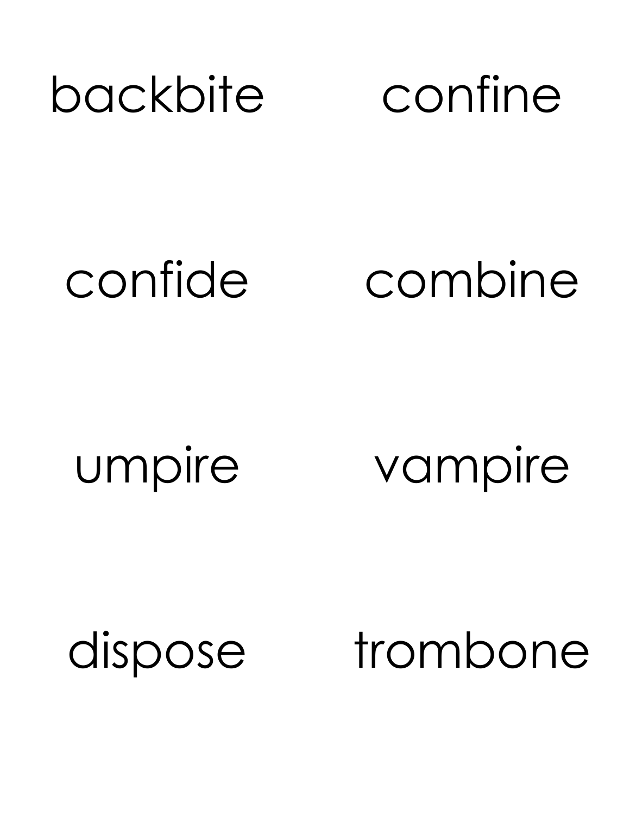# backbite confine

confide combine

umpire vampire

dispose trombone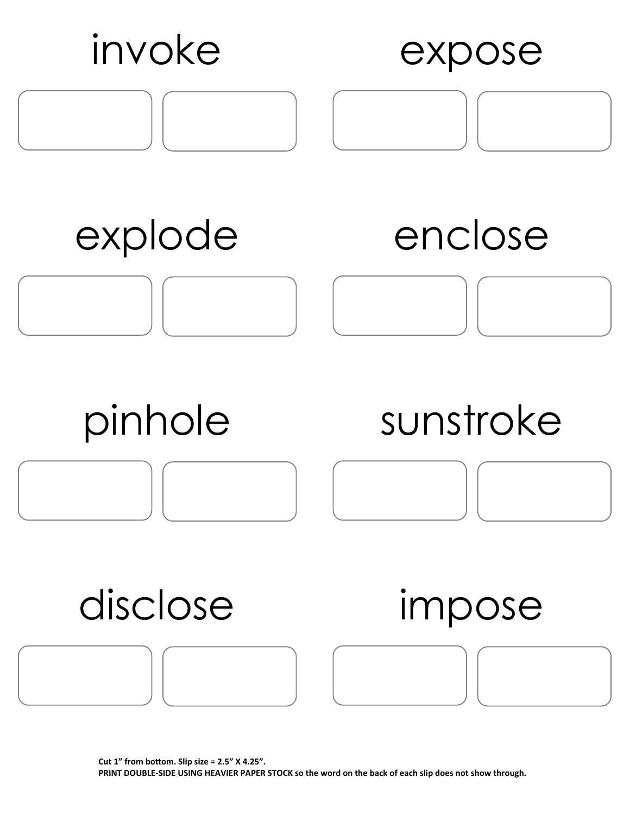![](_page_13_Figure_0.jpeg)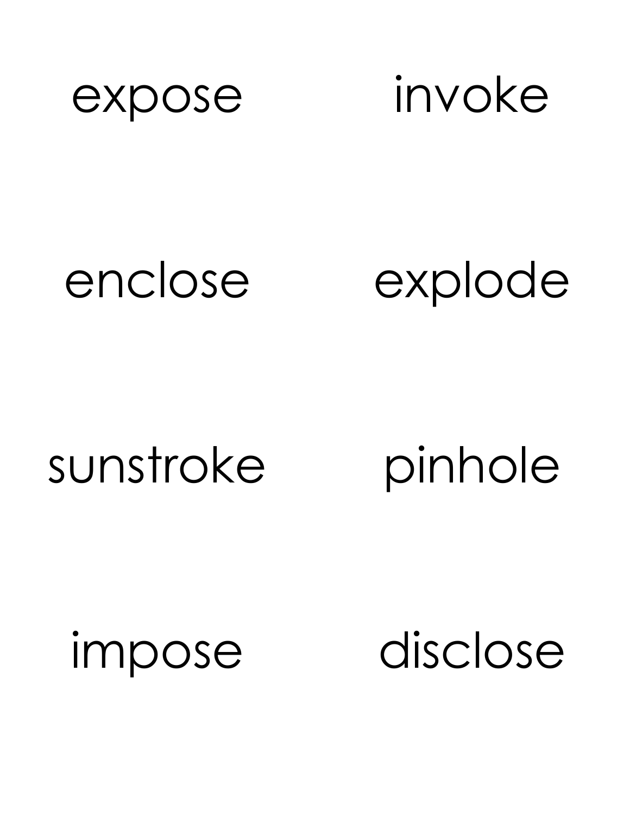![](_page_14_Picture_0.jpeg)

expose invoke

# enclose explode

# sunstroke pinhole

impose disclose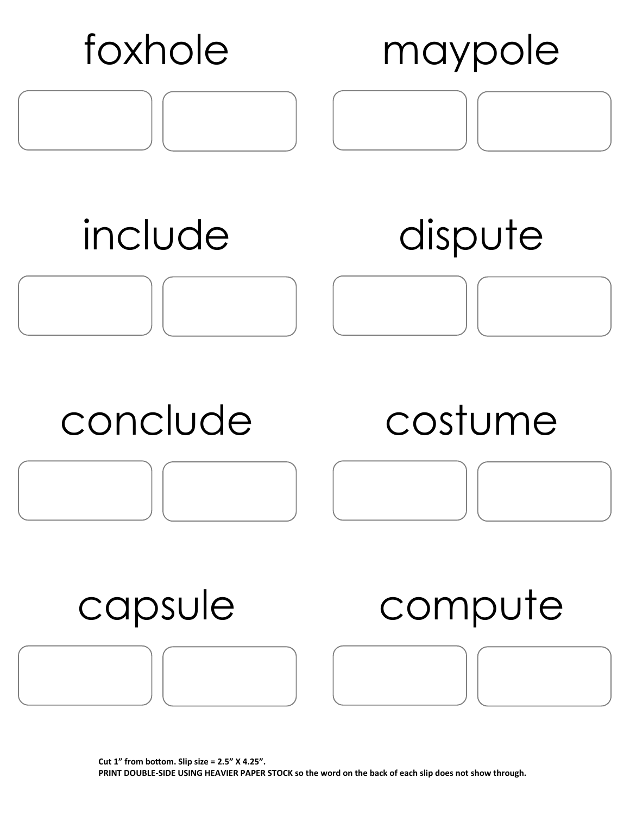![](_page_15_Figure_0.jpeg)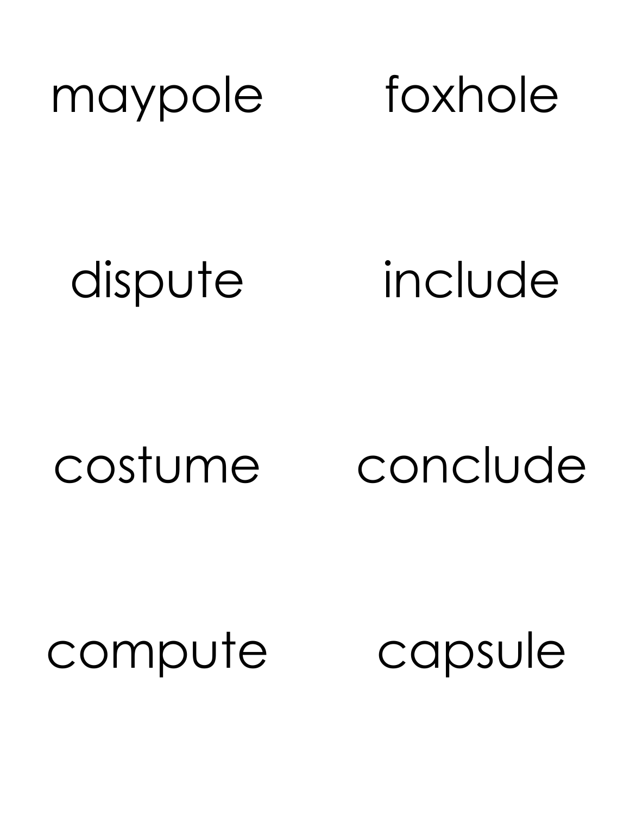![](_page_16_Picture_0.jpeg)

dispute include

costume conclude

compute capsule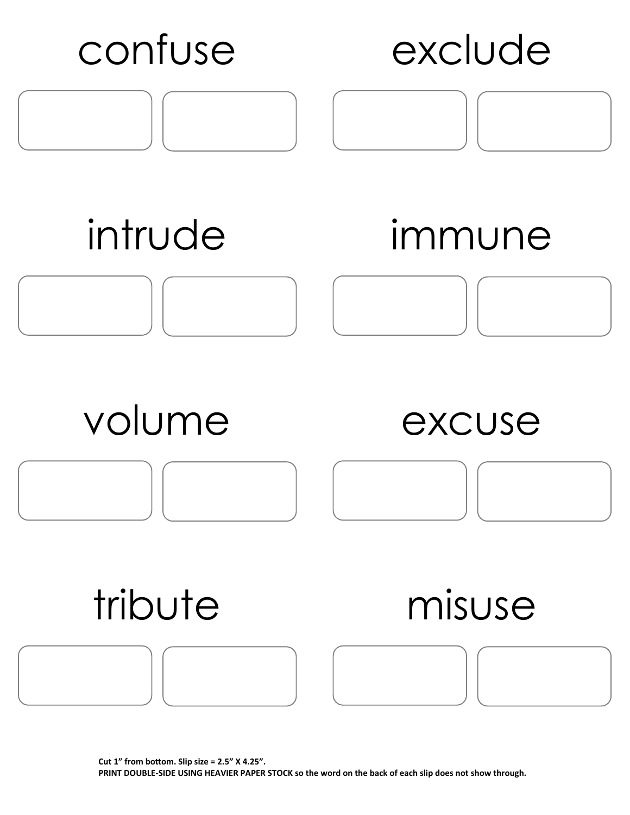![](_page_17_Figure_0.jpeg)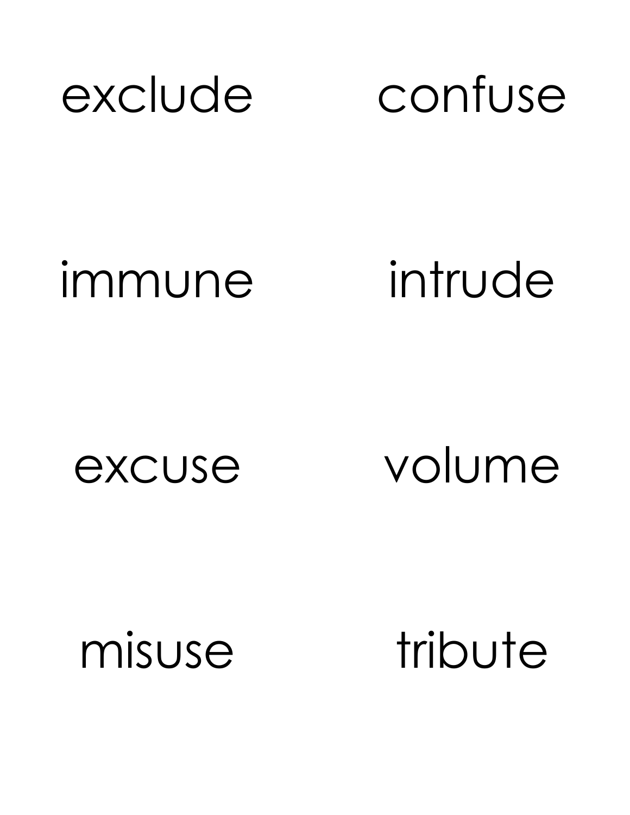![](_page_18_Picture_0.jpeg)

immune intrude

excuse volume

misuse tribute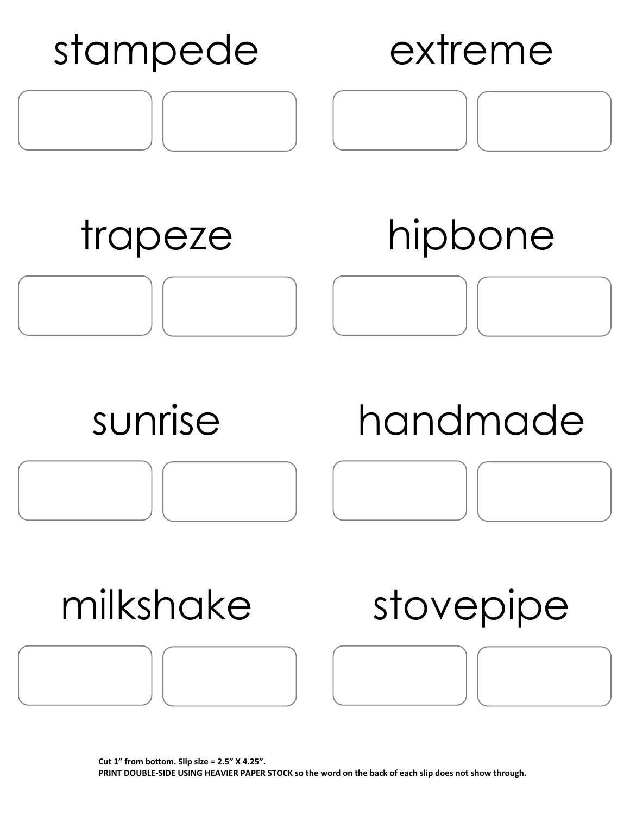![](_page_19_Figure_0.jpeg)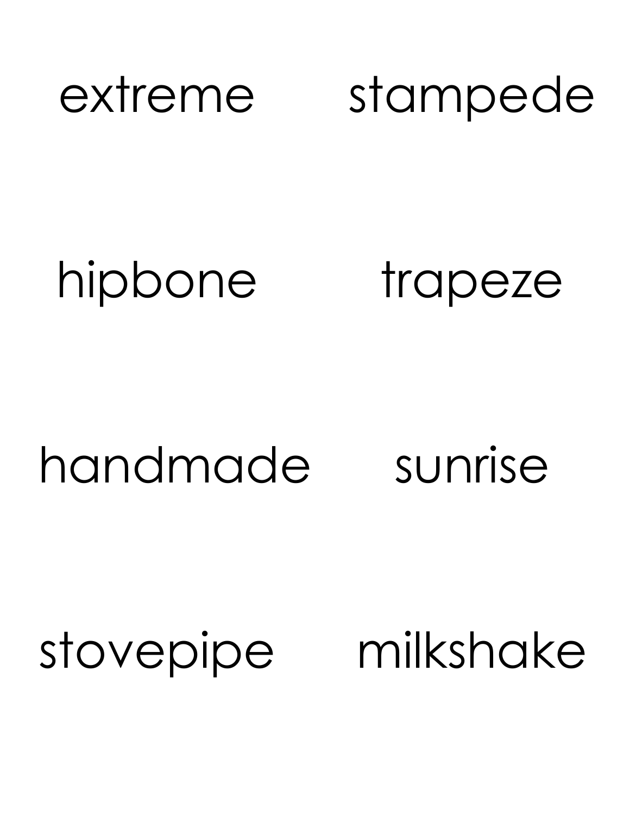![](_page_20_Picture_0.jpeg)

# hipbone trapeze

# handmade sunrise

# stovepipe milkshake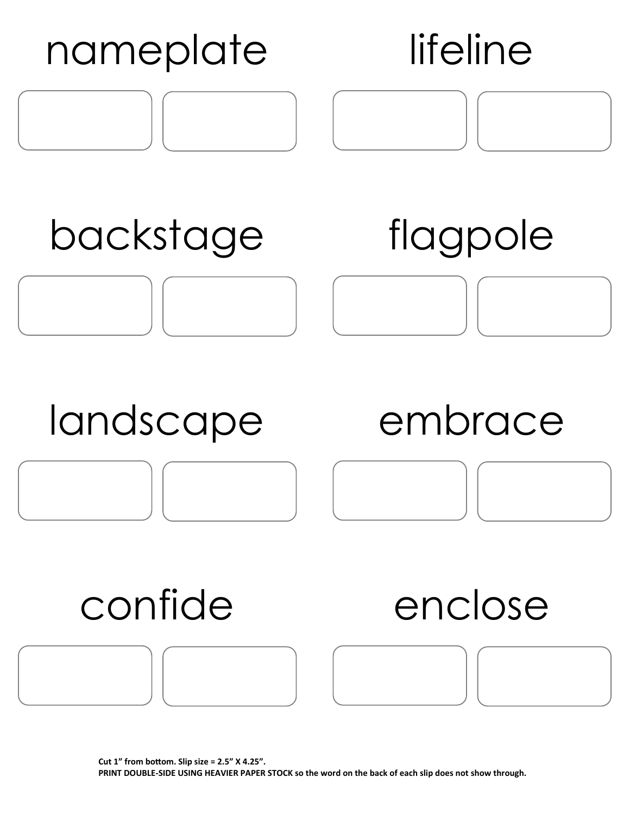![](_page_21_Figure_0.jpeg)